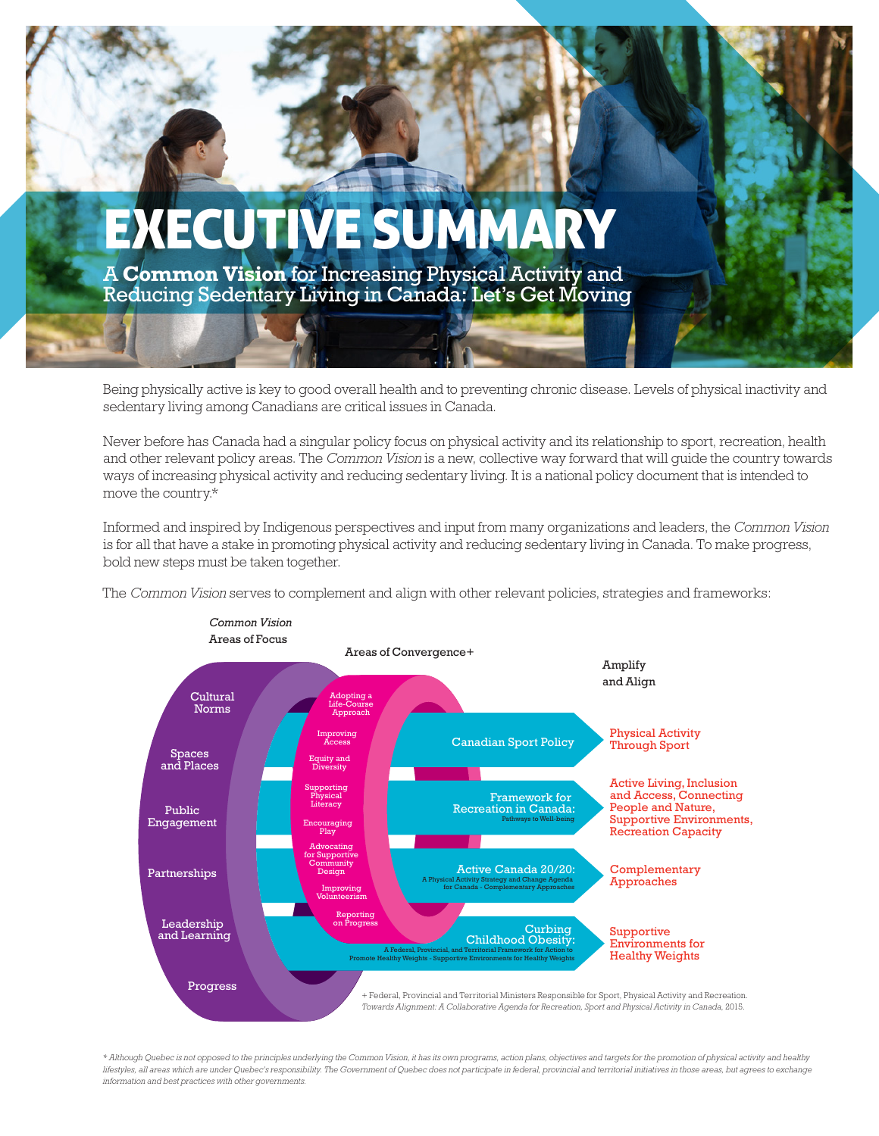

Being physically active is key to good overall health and to preventing chronic disease. Levels of physical inactivity and sedentary living among Canadians are critical issues in Canada.

Never before has Canada had a singular policy focus on physical activity and its relationship to sport, recreation, health and other relevant policy areas. The *Common Vision* is a new, collective way forward that will guide the country towards ways of increasing physical activity and reducing sedentary living. It is a national policy document that is intended to move the country.\*

Informed and inspired by Indigenous perspectives and input from many organizations and leaders, the *Common Vision* is for all that have a stake in promoting physical activity and reducing sedentary living in Canada. To make progress, bold new steps must be taken together.

The *Common Vision* serves to complement and align with other relevant policies, strategies and frameworks:



*\* Although Quebec is not opposed to the principles underlying the Common Vision, it has its own programs, action plans, objectives and targets for the promotion of physical activity and healthy lifestyles, all areas which are under Quebec's responsibility. The Government of Quebec does not participate in federal, provincial and territorial initiatives in those areas, but agrees to exchange information and best practices with other governments.*